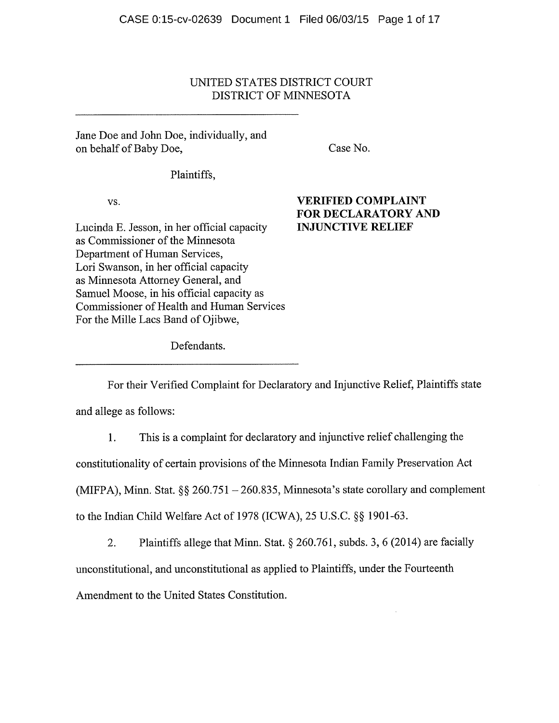# UNITED STATES DISTRICT COURT DISTRICT OF MINNESOTA

Jane Doe and John Doe, individually, and on behalf of Baby Doe, Case No.

Plaintiffs,

Lucinda E. Jesson, in her official capacity **INJUNCTIVE RELIEF** as Commissioner of the Minnesota Department of Human Services, Lori Swanson, in her official capacity as Minnesota Attorney General, and Samuel Moose, in his official capacity as Commissioner of Health and Human Services For the Mille Lacs Band of Ojibwe,

# vs. VERIFIED COMPLAINT FOR DECLARATORY AND

Defendants.

For their Verified Complaint for Declaratory and Injunctive Relief, Plaintiffs state

and allege as follows:

1. This is <sup>a</sup> complaint for declaratory and injunctive relief challenging the

constitutionality of certain provisions of the Minnesota Indian Family Preservation Act

(MIFPA), Minn. Stat.  $\S\S 260.751 - 260.835$ , Minnesota's state corollary and complement

to the Indian Child Welfare Act of 1978 (ICWA),  $25$  U.S.C.  $\S$  $\S$  1901-63.

2. Plaintiffs allege that Minn. Stat.  $\S 260.761$ , subds. 3, 6 (2014) are facially unconstitutional, and unconstitutional as applied to Plaintiffs, under the Fourteenth Amendment to the United States Constitution.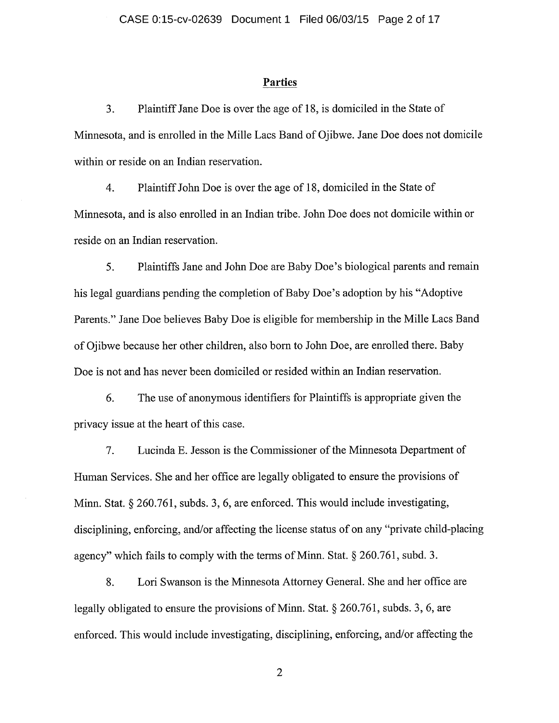#### Parties

3. Plaintiff Jane Doe is over the age of 18, is domiciled in the State of Minnesota, and is enrolled in the Mille Lacs Band of Ojibwe. Jane Doe does not domicile within or reside on an Indian reservation.

4. Plaintiff John Doe is over the age of 18, domiciled in the State of Minnesota, and is also enrolled in an Indian tribe. John Doe does not domicile within or reside on an Indian reservation.

5. Plaintiffs Jane and John Doe are Baby Doe's biological parents and remain his legal guardians pending the completion of Baby Doe's adoption by his "Adoptive" Parents." Jane Doe believes Baby Doe is eligible for membership in the Mille Lacs Band of Ojibwe because her other children, also born to John Doe, are enrolled there. Baby Doe is not and has never been domiciled or resided within an Indian reservation.

6. The use of anonymous identifiers for Plaintiffs is appropriate given the privacy issue at the heart of this case.

7. Lucinda E. Jesson is the Commissioner of the Minnesota Department of Human Services. She and her office are legally obligated to ensure the provisions of Minn. Stat.  $\S 260.761$ , subds. 3, 6, are enforced. This would include investigating, disciplining, enforcing, and/or affecting the license status of on any "private child-placing agency" which fails to comply with the terms of Minn. Stat.  $\S 260.761$ , subd. 3.

8. Lori Swanson is the Minnesota Attorney General. She and her office are legally obligated to ensure the provisions of Minn. Stat.  $\S 260.761$ , subds. 3, 6, are enforced. This would include investigating, disciplining, enforcing, and/or affecting the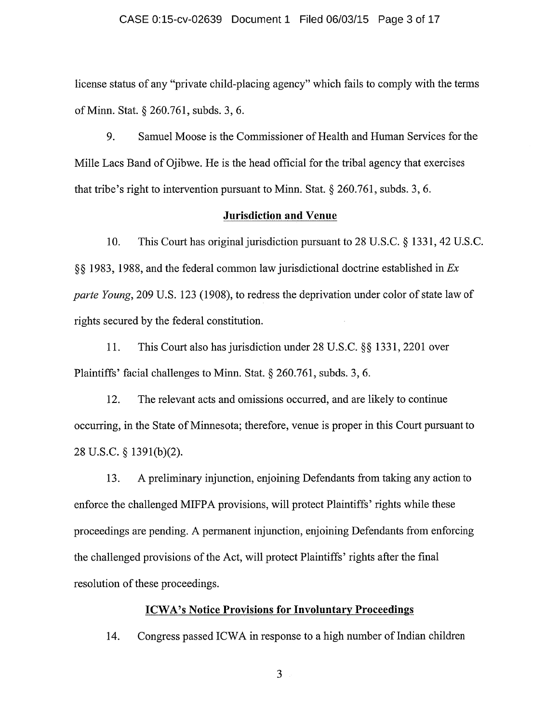#### CASE 0:15-cv-02639 Document 1 Filed 06/03/15 Page 3 of 17

license status of any "private child-placing agency" which fails to comply with the terms of Minn. Stat. § 260.761, subds. 3, 6.

9. Samuel Moose is the Commissioner of Health and Human Services for the Mille Lacs Band of Ojibwe. He is the head official for the tribal agency that exercises that tribe's right to intervention pursuant to Minn. Stat.  $\S 260.761$ , subds. 3, 6.

#### Jurisdiction and Venue

10. This Court has original jurisdiction pursuant to 28 U.S.C. § 1331, 42 U.S.C.  $\S$ § 1983, 1988, and the federal common law jurisdictional doctrine established in  $Ex$ parte Young, <sup>209</sup> U.S. <sup>123</sup> (1908), to redress the deprivation under color of state law of rights secured by the federal constitution.

11. This Court also has jurisdiction under 28 U.S.C. §§ 1331, 2201 over Plaintiffs' facial challenges to Minn. Stat.  $\S 260.761$ , subds. 3, 6.

12. The relevant acts and omissions occurred, and are likely to continue occurring, in the State of Minnesota; therefore, venue is proper in this Court pursuant to 28 U.S.C. § 1391(b)(2).

13. A preliminary injunction, enjoining Defendants from taking any action to enforce the challenged MIFPA provisions, will protect Plaintiffs' rights while these proceedings are pending. A permanent injunction, enjoining Defendants from enforcing the challenged provisions of the Act, will protect Plaintiffs' rights after the final resolution of these proceedings.

#### ICWA's Notice Provisions for Involuntary Proceedings

14. Congress passed ICWA in response to <sup>a</sup> high number of Indian children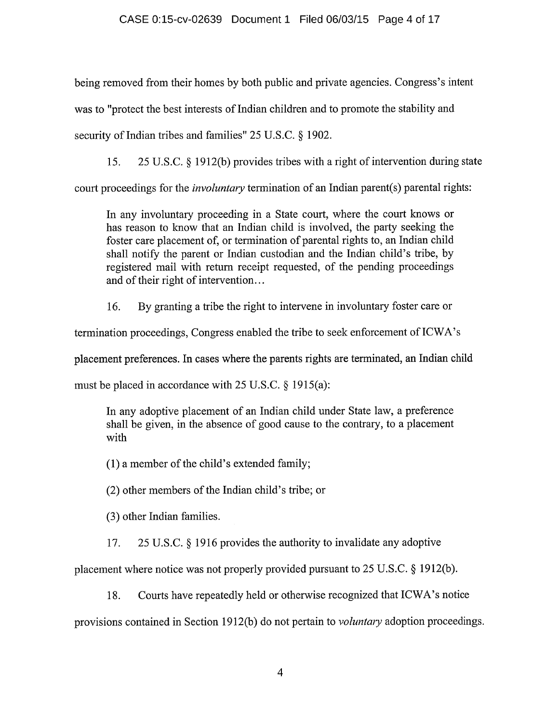being removed from their homes by both public and private agencies. Congress's intent was to "protect the best interests of Indian children and to promote the stability and security of Indian tribes and families"  $25$  U.S.C.  $\S$  1902.

15. <sup>25</sup> U.S.C. 1912(b) provides tribes with <sup>a</sup> right of intervention during state

court proceedings for the *involuntary* termination of an Indian parent(s) parental rights:

In any involuntary proceeding in <sup>a</sup> State court, where the court knows or has reason to know that an Indian child is involved, the party seeking the foster care placement of, or termination of parental rights to, an Indian child shall notify the parent or Indian custodian and the Indian child's tribe, by registered mail with return receipt requested, of the pending proceedings and of their right of intervention...

16. By granting <sup>a</sup> tribe the right to intervene in involuntary foster care or

termination proceedings, Congress enabled the tribe to seek enforcement of ICWA's

placement preferences. In cases where the parents rights are terminated, an Indian child

must be placed in accordance with  $25$  U.S.C.  $\S$  1915(a):

In any adoptive placement of an Indian child under State law, <sup>a</sup> preference shall be given, in the absence of good cause to the contrary, to <sup>a</sup> placement with

(1) <sup>a</sup> member of the child's extended family;

(2) other members of the Indian child's tribe; or

(3) other Indian families.

17. 25 U.S.C. § 1916 provides the authority to invalidate any adoptive

placement where notice was not properly provided pursuant to  $25$  U.S.C.  $\S$  1912(b).

18. Courts have repeatedly held or otherwise recognized that ICWA's notice

provisions contained in Section 1912(b) do not pertain to voluntary adoption proceedings.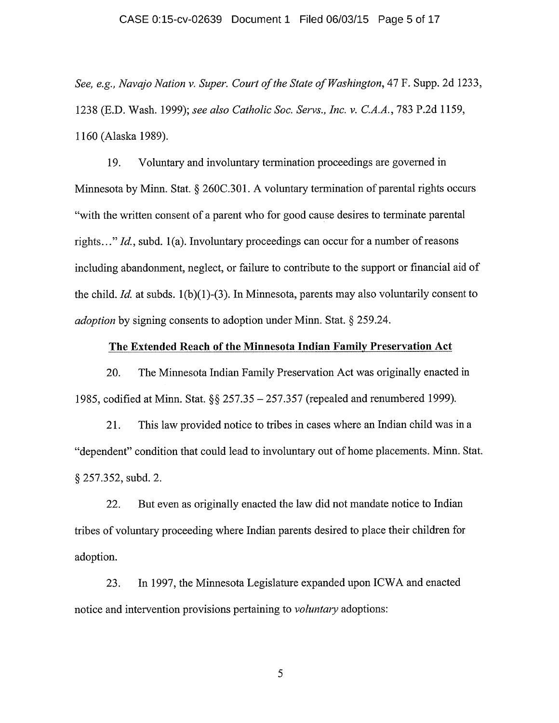#### CASE 0:15-cv-02639 Document 1 Filed 06/03/15 Page 5 of 17

See, e.g., Navajo Nation v. Super. Court of the State of Washington, 47 F. Supp. 2d 1233, 1238 (E.D. Wash. 1999); see also Catholic Soc. Servs., Inc. v. C.A.A., 783 P.2d 1159, 1160 (Alaska 1989).

19. Voluntary and involuntary termination proceedings are governed in Minnesota by Minn. Stat.  $\S 260C.301$ . A voluntary termination of parental rights occurs "with the written consent of <sup>a</sup> parent who for good cause desires to terminate parental rights..." Id., subd. 1(a). Involuntary proceedings can occur for a number of reasons including abandonment, neglect, or failure to contribute to the support or financial aid of the child. *Id.* at subds.  $1(b)(1)-(3)$ . In Minnesota, parents may also voluntarily consent to *adoption* by signing consents to adoption under Minn. Stat.  $\S$  259.24.

#### The Extended Reach of the Minnesota Indian Family Preservation Act

20. The Minnesota Indian Family Preservation Act was originally enacted in 1985, codified at Minn. Stat.  $\S$   $\S$  257.35 - 257.357 (repealed and renumbered 1999).

21. This law provided notice to tribes in cases where an Indian child was in <sup>a</sup> "dependent" condition that could lead to involuntary out of home placements. Minn. Stat. § 257.352, subd. 2.

22. But even as originally enacted the law did not mandate notice to Indian tribes of voluntary proceeding where Indian parents desired to place their children for adoption.

23. In 1997, the Minnesota Legislature expanded upon ICWA and enacted notice and intervention provisions pertaining to voluntary adoptions: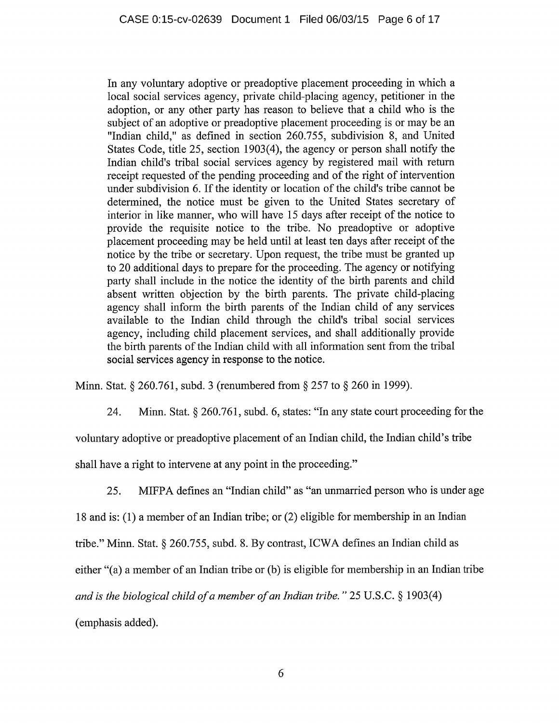In any voluntary adoptive or preadoptive placement proceeding in which <sup>a</sup> local social services agency, private child-placing agency, petitioner in the adoption, or any other party has reason to believe that <sup>a</sup> child who is the subject of an adoptive or preadoptive placement proceeding is or may be an "Indian child," as defined in section 260.755, subdivision 8, and United States Code, title 25, section 1903(4), the agency or person shall notify the Indian child's tribal social services agency by registered mail with return receipt requested of the pending proceeding and of the right of intervention under subdivision 6. If the identity or location of the child's tribe cannot be determined, the notice must be given to the United States secretary of interior in like manner, who will have <sup>15</sup> days after receipt of the notice to provide the requisite notice to the tribe. No preadoptive or adoptive placement proceeding may be held until at least ten days after receipt of the notice by the tribe or secretary. Upon request, the tribe must be granted up to 20 additional days to prepare for the proceeding. The agency or notifying party shall include in the notice the identity of the birth parents and child absent written objection by the birth parents. The private child-placing agency shall inform the birth parents of the Indian child of any services available to the Indian child through the child's tribal social services agency, including child placement services, and shall additionally provide the birth parents of the Indian child with all information sent from the tribal social services agency in response to the notice.

Minn. Stat.  $\S 260.761$ , subd. 3 (renumbered from  $\S 257$  to  $\S 260$  in 1999).

24. Minn. Stat. § 260.761, subd. 6, states: "In any state court proceeding for the

voluntary adoptive or preadoptive placement of an Indian child, the Indian child's tribe

shall have <sup>a</sup> right to intervene at any point in the proceeding."

25. MIFPA defines an "Indian child" as "an unmarried person who is under age

<sup>18</sup> and is: (1) <sup>a</sup> member of an Indian tribe; or (2) eligible for membership in an Indian

tribe." Minn. Stat. § 260.755, subd. 8. By contrast, ICWA defines an Indian child as

either "(a) <sup>a</sup> member of an Indian tribe or (b) is eligible for membership in an Indian tribe

and is the biological child of a member of an Indian tribe."  $25 \text{ U.S.C.}$  § 1903(4)

(emphasis added).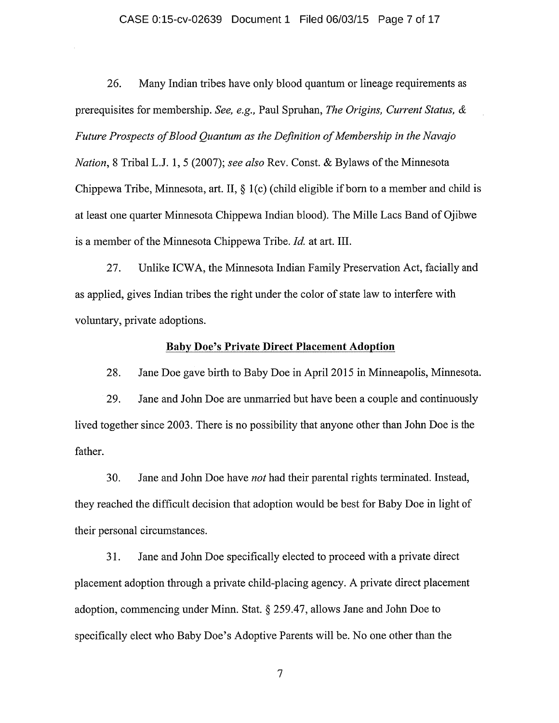#### CASE 0:15-cv-02639 Document 1 Filed 06/03/15 Page 7 of 17

26. Many Indian tribes have only blood quantum or lineage requirements as prerequisites for membership. See, e.g., Paul Spruhan, The Origins, Current Status, & Future Prospects of Blood Quantum as the Definition of Membership in the Navajo Nation, 8 Tribal L.J. 1, 5 (2007); see also Rev. Const. & Bylaws of the Minnesota Chippewa Tribe, Minnesota, art. II,  $\S$  1(c) (child eligible if born to a member and child is at least one quarter Minnesota Chippewa Indian blood). The Mille Lacs Band of Ojibwe is a member of the Minnesota Chippewa Tribe. Id. at art. III.

27. Unlike ICWA, the Minnesota Indian Family Preservation Act, facially and as applied, gives Indian tribes the right under the color of state law to interfere with voluntary, private adoptions.

#### Baby Doe's Private Direct Placement Adoption

28. Jane Doe gave birth to Baby Doe in April 2015 in Minneapolis, Minnesota.

29. Jane and John Doe are unmarried but have been <sup>a</sup> couple and continuously lived together since 2003. There is no possibility that anyone other than John Doe is the father.

30. Jane and John Doe have not had their parental rights terminated. Instead, they reached the difficult decision that adoption would be best for Baby Doe in light of their personal circumstances.

31. Jane and John Doe specifically elected to proceed with <sup>a</sup> private direct placement adoption through <sup>a</sup> private child-placing agency. A private direct placement adoption, commencing under Minn. Stat. 259.47, allows Jane and John Doe to specifically elect who Baby Doe's Adoptive Parents will be. No one other than the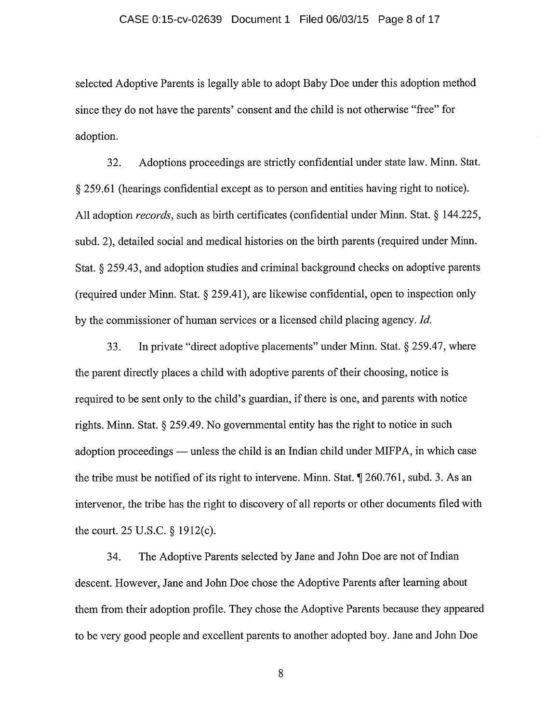#### CASE 0:15-cv-02639 Document 1 Filed 06/03/15 Page 8 of 17

selected Adoptive Parents is legally able to adopt Baby Doe under this adoption method since they do not have the parents' consent and the child is not otherwise "free" for adoption.

32. Adoptions proceedings are strictly confidential under state law. Minn. Stat. 259.61 (hearings confidential except as to person and entities having right to notice). All adoption *records*, such as birth certificates (confidential under Minn. Stat. § 144.225, subd. 2), detailed social and medical histories on the birth parents (required under Minn. Stat.  $\S$  259.43, and adoption studies and criminal background checks on adoptive parents (required under Minn. Stat.  $\S$  259.41), are likewise confidential, open to inspection only by the commissioner of human services or <sup>a</sup> licensed child placing agency. Id.

33. In private "direct adoptive placements" under Minn. Stat.  $\S$  259.47, where the parent directly places a child with adoptive parents of their choosing, notice is required to be sent only to the child's guardian, if there is one, and parents with notice rights. Minn. Stat.  $\S 259.49$ . No governmental entity has the right to notice in such adoption proceedings — unless the child is an Indian child under MIFPA, in which case the tribe must be notified of its right to intervene. Minn. Stat.  $\parallel$  260.761, subd. 3. As an intervenor, the tribe has the right to discovery of all reports or other documents filed with the court. 25 U.S.C.  $\S$  1912(c).

34. The Adoptive Parents selected by Jane and John Doe are not of Indian descent. However, Jane and John Doe chose the Adoptive Parents after learning about them from their adoption profile. They chose the Adoptive Parents because they appeared to be very good people and excellent parents to another adopted boy. Jane and John Doe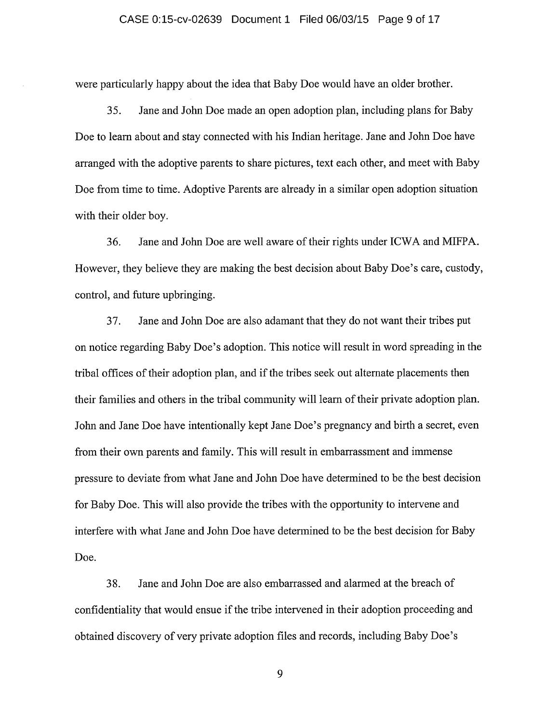were particularly happy about the idea that Baby Doe would have an older brother.

35. Jane and John Doe made an open adoption plan, including plans for Baby Doe to learn about and stay connected with his Indian heritage. Jane and John Doe have arranged with the adoptive parents to share pictures, text each other, and meet with Baby Doe from time to time. Adoptive Parents are already in <sup>a</sup> similar open adoption situation with their older boy.

36. Jane and John Doe are well aware of their rights under ICWA and MIFPA. However, they believe they are making the best decision about Baby Doe's care, custody, control, and future upbringing.

37. Jane and John Doe are also adamant that they do not want their tribes put on notice regarding Baby Doe's adoption. This notice will result in word spreading in the tribal offices of their adoption plan, and if the tribes seek out alternate placements then their families and others in the tribal community will learn of their private adoption plan. John and Jane Doe have intentionally kept Jane Doe's pregnancy and birth <sup>a</sup> secret, even from their own parents and family. This will result in embarrassment and immense pressure to deviate from what Jane and John Doe have determined to be the best decision for Baby Doe. This will also provide the tribes with the opportunity to intervene and interfere with what Jane and John Doe have determined to be the best decision for Baby Doe.

38. Jane and John Doe are also embarrassed and alamied at the breach of confidentiality that would ensue if the tribe intervened in their adoption proceeding and obtained discovery of very private adoption files and records, including Baby Doe's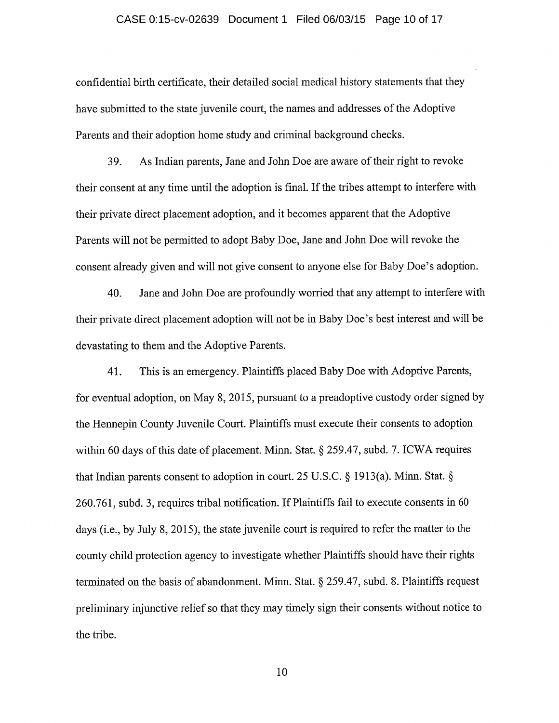#### CASE 0:15-cv-02639 Document 1 Filed 06/03/15 Page 10 of 17

confidential birth certificate, their detailed social medical history statements that they have submitted to the state juvenile court, the names and addresses of the Adoptive Parents and their adoption home study and criminal background checks.

39. As Indian parents, Jane and John Doe are aware of their right to revoke their consent at any time until the adoption is final. If the tribes attempt to interfere with their private direct placement adoption, and it becomes apparent that the Adoptive Parents will not be permitted to adopt Baby Doe, Jane and John Doe will revoke the consent already given and will not give consent to anyone else for Baby Doe's adoption.

40. Jane and John Doe are profoundly worried that any attempt to interfere with their private direct placement adoption will not be in Baby Doe's best interest and will be devastating to them and the Adoptive Parents.

41. This is an emergency. Plaintiffs placed Baby Doe with Adoptive Parents, for eventual adoption, on May 8, 2015, pursuant to <sup>a</sup> preadoptive custody order signed by the Hennepin County Juvenile Court. Plaintiffs must execute their consents to adoption within 60 days of this date of placement. Minn. Stat.  $\S$  259.47, subd. 7. ICWA requires that Indian parents consent to adoption in court. 25 U.S.C.  $\S$  1913(a). Minn. Stat.  $\S$ 260.761, subd. 3, requires tribal notification. IfPlaintiffs fail to execute consents in <sup>60</sup> days (i.e., by July 8, 2015), the state juvenile court is required to refer the matter to the county child protection agency to investigate whether Plaintiffs should have their rights terminated on the basis of abandonment. Minn. Stat.  $\S$  259.47, subd. 8. Plaintiffs request preliminary injunctive relief so that they may timely sign their consents without notice to the tribe.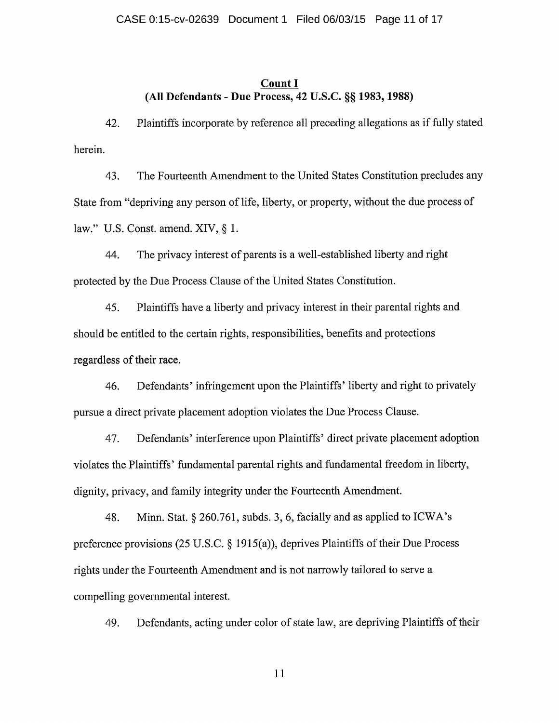#### Count I (All Defendants - Due Process, 42 U.S.C. §§ 1983, 1988)

42. Plaintiffs incorporate by reference all preceding allegations as if fully stated herein.

43. The Fourteenth Amendment to the United States Constitution precludes any State from "depriving any person of life, liberty, or property, without the due process of law." U.S. Const. amend. XIV,  $\S$  1.

44. The privacy interest of parents is a well-established liberty and right protected by the Due Process Clause of the United States Constitution.

45. Plaintiffs have <sup>a</sup> liberty and privacy interest in their parental rights and should be entitled to the certain rights, responsibilities, benefits and protections regardless of their race.

46. Defendants' infringement upon the Plaintiffs' liberty and right to privately pursue <sup>a</sup> direct private placement adoption violates the Due Process Clause.

47. Defendants' interference upon Plaintiffs' direct private placement adoption violates the Plaintiffs' fundamental parental rights and fundamental freedom in liberty, dignity, privacy, and family integrity under the Fourteenth Amendment.

48. Minn. Stat.  $\S 260.761$ , subds. 3, 6, facially and as applied to ICWA's preference provisions (25 U.S.C.  $\S$  1915(a)), deprives Plaintiffs of their Due Process rights under the Fourteenth Amendment and is not narrowly tailored to serve <sup>a</sup> compelling governmental interest.

49. Defendants, acting under color of state law, are depriving Plaintiffs of their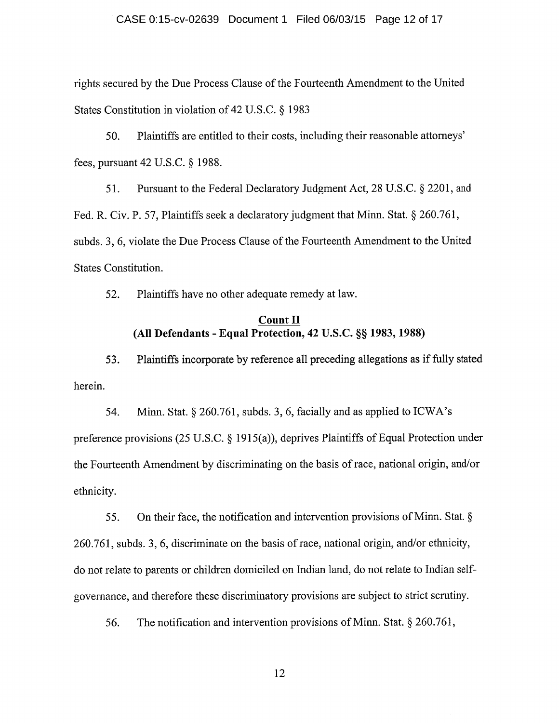#### CASE 0:15-cv-02639 Document 1 Filed 06/03/15 Page 12 of 17

rights secured by the Due Process Clause of the Fourteenth Amendment to the United States Constitution in violation of 42 U.S.C.  $\S$  1983

50. Plaintiffs are entitled to their costs, including their reasonable attorneys' fees, pursuant  $42$  U.S.C.  $\S$  1988.

51. Pursuant to the Federal Declaratory Judgment Act, 28 U.S.C. § 2201, and Fed. R. Civ. P. 57, Plaintiffs seek a declaratory judgment that Minn. Stat.  $\S 260.761$ , subds. 3, 6, violate the Due Process Clause of the Fourteenth Amendment to the United States Constitution.

52. Plaintiffs have no other adequate remedy at law.

### Count II (All Defendants - Equal Protection, 42 U.S.C. §§ 1983, 1988)

53. Plaintiffs incorporate by reference all preceding allegations as iffully stated herein.

54. Minn. Stat.  $\S 260.761$ , subds. 3, 6, facially and as applied to ICWA's preference provisions (25 U.S.C.  $\S$  1915(a)), deprives Plaintiffs of Equal Protection under the Fourteenth Amendment by discriminating on the basis ofrace, national origin, and/or ethnicity.

55. On their face, the notification and intervention provisions of Minn. Stat.  $\S$ 260.761, subds. 3, 6, discriminate on the basis ofrace, national origin, and/or ethnicity, do not relate to parents or children domiciled on Indian land, do not relate to Indian selfgovernance, and therefore these discriminatory provisions are subject to strict scrutiny.

56. The notification and intervention provisions of Minn. Stat.  $\S 260.761$ ,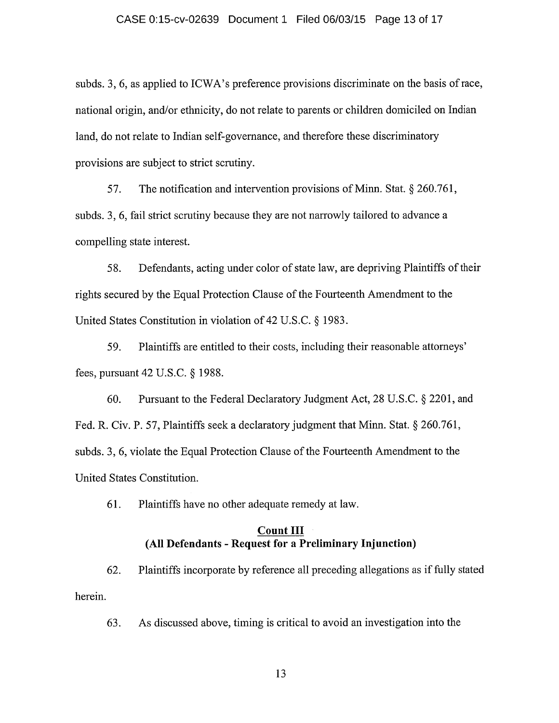subds. 3, 6, as applied to ICWA's preference provisions discriminate on the basis of race, national origin, and/or ethnicity, do not relate to parents or children domiciled on Indian land, do not relate to Indian self-governance, and therefore these discriminatory provisions are subject to strict scrutiny.

57. The notification and intervention provisions of Minn. Stat.  $\S 260.761$ , subds. 3, 6, fail strict scrutiny because they are not narrowly tailored to advance <sup>a</sup> compelling state interest.

58. Defendants, acting under color of state law, are depriving Plaintiffs of their rights secured by the Equal Protection Clause of the Fourteenth Amendment to the United States Constitution in violation of  $42$  U.S.C. § 1983.

59. Plaintiffs are entitled to their costs, including their reasonable attorneys' fees, pursuant  $42$  U.S.C.  $\S$  1988.

60. Pursuant to the Federal Declaratory Judgment Act, 28 U.S.C. § 2201, and Fed. R. Civ. P. 57, Plaintiffs seek a declaratory judgment that Minn. Stat.  $\S 260.761$ , subds. 3, 6, violate the Equal Protection Clause of the Fourteenth Amendment to the United States Constitution.

61. Plaintiffs have no other adequate remedy at law.

# Count III (All Defendants - Request for a Preliminary Injunction)

62. Plaintiffs incorporate by reference all preceding allegations as iffully stated herein.

63. As discussed above, timing is critical to avoid an investigation into the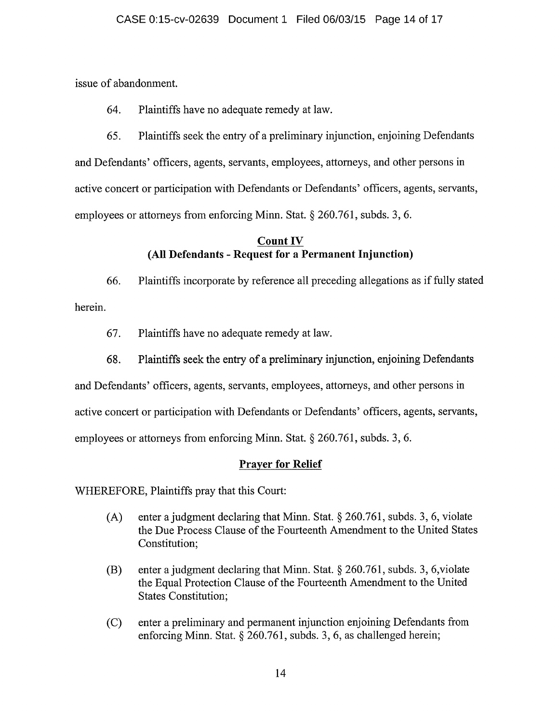issue of abandonment.

64. Plaintiffs have no adequate remedy at law.

65. Plaintiffs seek the entry of <sup>a</sup> preliminary injunction, enjoining Defendants and Defendants' officers, agents, servants, employees, attorneys, and other persons in active concert or participation with Defendants or Defendants' officers, agents, servants, employees or attorneys from enforcing Minn. Stat.  $\S 260.761$ , subds. 3, 6.

# Count IV (All Defendants - Request for a Permanent Injunction)

66. Plaintiffs incorporate by reference all preceding allegations as iffully stated herein.

- 67. Plaintiffs have no adequate remedy at law.
- 68. Plaintiffs seek the entry of <sup>a</sup> preliminary injunction, enjoining Defendants

and Defendants' officers, agents, servants, employees, attorneys, and other persons in

active concert or participation with Defendants or Defendants' officers, agents, servants,

employees or attorneys from enforcing Minn. Stat. § 260.761, subds. 3, 6.

# Prayer for Relief

WHEREFORE, Plaintiffs pray that this Court:

- (A) enter a judgment declaring that Minn. Stat.  $\S 260.761$ , subds. 3, 6, violate the Due Process Clause of the Fourteenth Amendment to the United States Constitution;
- (B) enter a judgment declaring that Minn. Stat.  $\S 260.761$ , subds. 3, 6, violate the Equal Protection Clause of the Fourteenth Amendment to the United States Constitution;
- (C) enter <sup>a</sup> preliminary and permanent injunction enjoining Defendants from enforcing Minn. Stat.  $\S 260.761$ , subds. 3, 6, as challenged herein;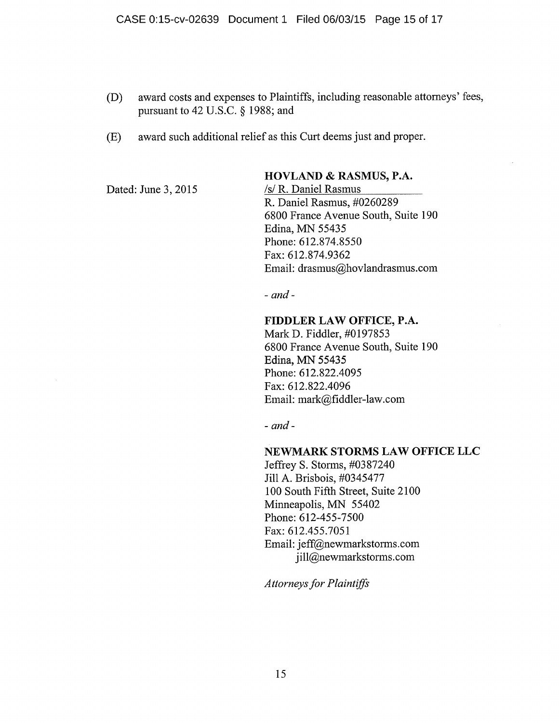- (D) award costs and expenses to Plaintiffs, including reasonable attorneys' fees, pursuant to 42 U.S.C.  $\S$  1988; and
- (E) award such additional relief as this Curt deems just and proper.

Dated: June 3, 2015

# HOVLAND & RASMUS, P.A. /s/ R. Daniel Rasmus

R. Daniel Rasmus, #0260289 6800 France Avenue South, Suite 190 Edina, MN 55435 Phone: 612.874.8550 Fax: 612.874.9362 Email: drasmus@hovlandrasmus.com

 $-$  and  $-$ 

## FIDDLER LAW OFFICE, P.A.

Mark D. Fiddler, #0197853 6800 France Avenue South, Suite 190 Edina, MN 55435 Phone: 612.822.4095 Fax: 612.822.4096 Email: mark@fiddler-law.com

 $-$  and  $-$ 

# NEWMARK STORMS LAW OFFICE LLC

Jeffrey S. Storms, #0387240 Jill A. Brisbois, #0345477 100 South Fifth Street, Suite 2100 Minneapolis, MN 55402 Phone: 612-455-7500 Fax: 612.455.7051 Email: jeff@newmarkstorms.com jill@newmarkstorms.com

Attorneys for Plaintiffs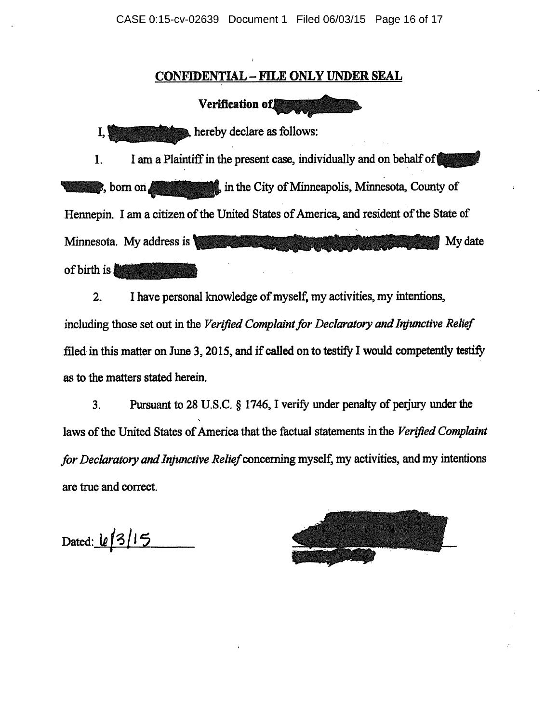CASE 0:15-cv-02639 Document 1 Filed 06/03/15 Page 16 of 17

# CONFIDENTIAL - FILE ONLY UNDER SEAL

Verification of<sup>[</sup>

 $\overline{A}$  hereby declare as follows:

1. I am a Plaintiff in the present case, individually and on behalf of  $\bullet$ , born on  $\bullet$  , in the City of Minneapolis, Minnesota, County of Hennepin. I am a citizen of the United States of America, and resident of the State of Minnesota. My address is **if the contract of the contract of the contract of the contract of the contract of the contract of the contract of the contract of the contract of the contract of the contract of the contract of t** of birth is

2. I have personal knowledge of myself, my activities, my intentions, including those set out in the Verified Complaint for Declaratory and Injunctive Relief filed in this matter on June 3, 2015, and if called on to testify I would competently testify as to the matters stated herein.

3. Pursuant to 28 U.S.C.  $\S$  1746, I verify under penalty of perjury under the laws of the United States of America that the factual statements in the Verified Complaint for Declaratory and Injunctive Relief concerning myself, my activities, and my intentions are true and correct.

Dated:  $\lfloor \ell/3 \rfloor$  15